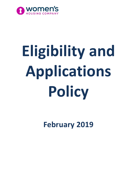

# **Eligibility and Applications Policy**

**February 2019**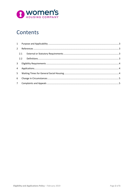

# Contents

|   | $2^{\circ}$ |  |
|---|-------------|--|
|   |             |  |
|   |             |  |
|   | $3^{\circ}$ |  |
|   |             |  |
|   |             |  |
| 6 |             |  |
|   |             |  |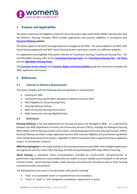

### <span id="page-2-0"></span>**1 Purpose and Applicability**

This policy references the eligibility criteria for Social Housing in New South Wales (NSW) and describes how the Women's Housing Company (WHC) accepts applications and assesses eligibility, in accordance with *[Housing Pathways](https://www.facs.nsw.gov.au/housing/help/applying-assistance/housing-pathways) policies*.

The policy applies to all Social Housing properties managed by the WHC. The policy applies to all WHC staff, Social Housing applicants and WHC Social Housing tenants wanting to transfer to a different property.

For applications and eligibility information relevant to Transitional Housing, Transitional Housing Plus – DV, and Affordable Housing, refer to the *[Transitional Housing Policy](http://www.womenshousingcompany.org.au/uploads/tenants/housing-services/Transitional-Housing-Policy---August-2018-051228.pdf)*, the *[Transitional Housing Plus –](http://www.womenshousingcompany.org.au/uploads/tenants/housing-services/Transitional-Housing-Plus-Policy---Sept-2018-004039.pdf) DV Policy* and the *[Affordable Housing Policy](http://www.womenshousingcompany.org.au/uploads/tenants/housing-services/Affordable-Housing-Policy---August-2018-051031.pdf)*.

The *[Customer Service Charter](http://www.womenshousingcompany.org.au/uploads/tenants/housing-services/Customer-Service-Charter-044752.pdf)* and *Customer [Rights and Responsibilities](http://www.womenshousingcompany.org.au/uploads/tenants/housing-services/Customer-Rights-and-Responsibilities-044804.pdf)* guide the interactions between the WHC, applicants and tenants.

#### <span id="page-2-1"></span>**2 References**

#### <span id="page-2-2"></span>**2.1 External or Statutory Requirements**

This policy complies with the following external legislation or requirements:

- Housing Act 2001
- Community Housing Providers (Adoption of National Law) Act 2012
- FACS Eligibility for Social Housing Policy
- Housing Pathways Policies
- NSW Community Housing Access Policy
- NSW Community Housing Eligibility Policy

#### <span id="page-2-3"></span>**2.2 Definitions**

**Housing Pathways** is the way applications for housing assistance are managed in NSW. It is a partnership between the NSW Department of Family and Community Services (FACS), including the Aboriginal Housing Office (AHO) and the Housing Contact Centre (HCC), and participating Community Housing Providers (CHPs). Housing Pathways provides a single application process with common eligibility and prioritisation guidelines and a standardised assessment process, regardless of which housing provider is approached by an applicant, using a 'no wrong door' protocol.

**NSW Housing Register** is the single waiting list for housing assistance across NSW, where eligible applications are registered and from which FACS Housing, the AHO and participating CHPs make offers of housing.

**Social Housing** is subsidised rental accommodation provided by not-for-profit, non-government or government organisations to assist people who are unable to access suitable accommodation in the private housing market. Social housing includes public housing and community housing as well as other housing assistance services and products.

The following terms are used in this document, with specific meaning:

- "may" is an acceptable action or requirement but not mandatory
- "must" or "shall" or "will" designates a mandatory requirement or action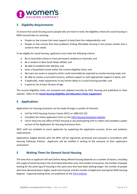

## <span id="page-3-0"></span>**3 Eligibility Requirements**

To ensure that social housing assists people who are most in need, the eligibility criteria for social housing in NSW concentrates on assisting:

- People on low income that need support to help them live independently, and
- People on low income that have problems finding affordable housing in the private market that is suited to their needs.

To be eligible for social housing, applicants must meet the following criteria:

- Be an Australian citizen or have permanent residency in Australia; and
- Be a resident in New South Wales (NSW), and
- Be able to establish their identity; and
- Have a household income within the income eligibility limits; and
- Not own any assets or property which could reasonably be expected to resolve housing need; and
- Be able to sustain a successful tenancy, without support or with appropriate support in place; and
- If applicable, make repayments of any former debts to a social housing provider; and
- In general, be at least 18 years of age.

The Income Eligibility Limits are reviewed and updated annually by FACS Housing and published on their website. Refer to the *[Social Housing Eligibility and Allocations Policy Supplement](https://www.facs.nsw.gov.au/housing/policies/social-housing-eligibility-allocations-policy-supplement)*.

#### <span id="page-3-1"></span>**4 Applications**

Applications for housing assistance can be made through a number of channels:

- Call the FACS Housing Contact Centre (HCC) on 1800 422 322
- Complete the online application form on th[e FACS Housing Assistance website](https://www.facs.nsw.gov.au/housing/help/applying-assistance/assistance)
- Call or drop into any office of FACS Housing or any participating CHP to collect and complete a paper version of the Application for Housing Assistance form

WHC staff are available to assist applicants by explaining the application process, forms and evidence requirements.

Applications lodged directly with the WHC will be registered, processed and assessed in accordance with Housing Pathways Policies. Applicants will be notified in writing of the outcome of their application assessment.

#### <span id="page-3-2"></span>**5 Waiting Times for General Social Housing**

The time that an applicant will wait before being offered housing depends on a number of factors, including the supply of social housing in the nominated allocation zone, the number of vacancies, the number of people waiting for the same type of housing in the same area who have been waiting longer, the number of people who have demonstrated a higher need to be housed, and the number of applicants leaving the NSW Housing Register. Expected waiting times are published on the [FACS website.](https://www.facs.nsw.gov.au/housing/help/applying-assistance/waiting-times)